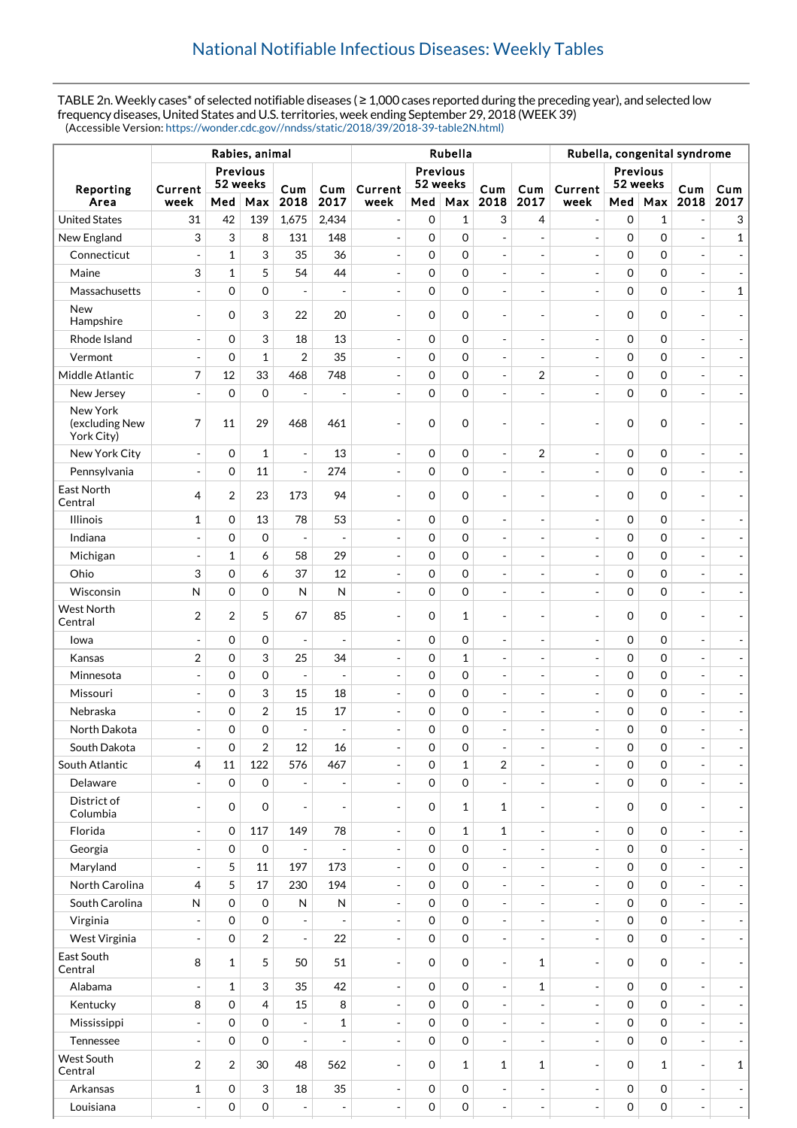TABLE 2n. Weekly cases\* of selected notifiable diseases ( ≥ 1,000 cases reported during the preceding year), and selected low frequency diseases, United States and U.S. territories, week ending September 29, 2018 (WEEK 39) (Accessible Version: [https://wonder.cdc.gov//nndss/static/2018/39/2018-39-table2N.html\)](https://wonder.cdc.gov//nndss/static/2018/39/2018-39-table2N.html)

|                                          |                             |                |                         |                          | Rubella, congenital syndrome |                              |             |                     |                          |                              |                          |                     |             |                          |                          |
|------------------------------------------|-----------------------------|----------------|-------------------------|--------------------------|------------------------------|------------------------------|-------------|---------------------|--------------------------|------------------------------|--------------------------|---------------------|-------------|--------------------------|--------------------------|
|                                          | <b>Previous</b><br>52 weeks |                |                         |                          |                              | <b>Previous</b><br>52 weeks  |             |                     |                          |                              | Previous<br>52 weeks     |                     |             |                          |                          |
| Reporting<br>Area                        | Current<br>week             | Med            | Max                     | Cum<br>2018              | Cum<br>2017                  | Current<br>week              | Med         | Max                 | Cum<br>2018              | Cum<br>2017                  | Current<br>week          | Med   Max           |             | Cum<br>2018              | Cum<br>2017              |
| <b>United States</b>                     | 31                          | 42             | 139                     | 1,675                    | 2,434                        |                              | $\mathbf 0$ | $\mathbf{1}$        | 3                        | 4                            | $\overline{\phantom{a}}$ | 0                   | 1           | $\overline{a}$           | 3                        |
| New England                              | 3                           | 3              | 8                       | 131                      | 148                          | $\overline{a}$               | $\mathbf 0$ | 0                   | $\blacksquare$           | $\frac{1}{2}$                | $\blacksquare$           | 0                   | $\mathbf 0$ | $\overline{a}$           | $\mathbf{1}$             |
| Connecticut                              | $\overline{a}$              | $\mathbf{1}$   | 3                       | 35                       | 36                           | $\overline{\phantom{a}}$     | 0           | $\mathsf{O}\xspace$ | $\overline{a}$           | $\overline{\phantom{a}}$     | $\overline{\phantom{a}}$ | $\mathsf{O}\xspace$ | $\mathbf 0$ |                          |                          |
| Maine                                    | 3                           | $\mathbf{1}$   | 5                       | 54                       | 44                           | $\qquad \qquad \blacksquare$ | 0           | $\overline{0}$      | $\overline{\phantom{a}}$ | $\overline{\phantom{a}}$     | $\overline{\phantom{a}}$ | $\mathsf{O}\xspace$ | $\mathbf 0$ | ÷                        |                          |
| Massachusetts                            | $\overline{a}$              | 0              | $\mathbf 0$             | ÷,                       | ÷,                           | $\overline{a}$               | 0           | $\mathbf 0$         | $\blacksquare$           | $\overline{\phantom{a}}$     | $\overline{\phantom{a}}$ | $\mathsf{O}\xspace$ | $\mathbf 0$ | $\overline{a}$           | $\mathbf{1}$             |
| <b>New</b>                               |                             |                |                         |                          |                              |                              |             |                     |                          |                              |                          |                     |             |                          |                          |
| Hampshire                                | $\overline{\phantom{a}}$    | 0              | 3                       | 22                       | 20                           | $\overline{\phantom{a}}$     | 0           | $\mathbf 0$         | $\blacksquare$           | $\overline{\phantom{a}}$     | $\overline{\phantom{a}}$ | $\mathbf 0$         | $\mathbf 0$ | ٠                        |                          |
| Rhode Island                             | $\overline{\phantom{a}}$    | 0              | 3                       | 18                       | 13                           | $\overline{\phantom{a}}$     | 0           | $\mathbf 0$         | $\blacksquare$           | $\blacksquare$               | $\overline{\phantom{a}}$ | 0                   | $\mathbf 0$ | ÷,                       |                          |
| Vermont                                  | $\overline{a}$              | 0              | $\mathbf{1}$            | $\overline{2}$           | 35                           | ÷,                           | 0           | 0                   | $\blacksquare$           | ÷,                           | $\overline{\phantom{a}}$ | 0                   | $\mathbf 0$ |                          |                          |
| Middle Atlantic                          | 7                           | 12             | 33                      | 468                      | 748                          | $\overline{\phantom{a}}$     | $\mathbf 0$ | 0                   | $\overline{\phantom{a}}$ | 2                            | $\equiv$                 | 0                   | $\mathbf 0$ | ÷,                       |                          |
| New Jersey                               | $\overline{a}$              | $\mathbf 0$    | $\mathbf 0$             |                          | $\overline{a}$               |                              | 0           | 0                   | $\blacksquare$           | $\overline{a}$               | $\overline{\phantom{a}}$ | $\mathsf{O}\xspace$ | $\mathbf 0$ | ÷,                       |                          |
| New York<br>(excluding New<br>York City) | 7                           | 11             | 29                      | 468                      | 461                          |                              | 0           | 0                   | $\overline{a}$           | ÷,                           | $\overline{\phantom{a}}$ | 0                   | $\mathbf 0$ |                          |                          |
| New York City                            | $\overline{a}$              | 0              | $\mathbf{1}$            | $\blacksquare$           | 13                           | $\overline{\phantom{a}}$     | $\mathbf 0$ | 0                   | $\blacksquare$           | $\boldsymbol{2}$             | $\overline{\phantom{a}}$ | 0                   | $\mathbf 0$ | $\overline{\phantom{a}}$ |                          |
| Pennsylvania                             | $\overline{a}$              | 0              | 11                      | $\overline{a}$           | 274                          |                              | 0           | 0                   | $\overline{a}$           | $\overline{\phantom{a}}$     | $\blacksquare$           | $\mathsf{O}\xspace$ | $\mathbf 0$ | ÷,                       |                          |
| East North<br>Central                    | 4                           | $\overline{2}$ | 23                      | 173                      | 94                           | ÷,                           | 0           | 0                   | $\overline{\phantom{a}}$ | $\overline{\phantom{a}}$     | $\overline{\phantom{a}}$ | 0                   | $\mathbf 0$ |                          |                          |
| <b>Illinois</b>                          | $\mathbf{1}$                | $\mathbf 0$    | 13                      | 78                       | 53                           | $\overline{a}$               | $\mathbf 0$ | 0                   | $\blacksquare$           | $\overline{\phantom{a}}$     | $\overline{\phantom{a}}$ | 0                   | $\mathbf 0$ | $\overline{\phantom{a}}$ |                          |
| Indiana                                  | $\frac{1}{2}$               | 0              | $\mathbf 0$             | $\overline{a}$           | $\overline{a}$               | ÷,                           | 0           | 0                   | $\overline{\phantom{a}}$ | $\overline{\phantom{a}}$     | $\overline{\phantom{a}}$ | 0                   | $\mathbf 0$ | ÷,                       |                          |
| Michigan                                 | $\overline{a}$              | $\mathbf{1}$   | 6                       | 58                       | 29                           | $\overline{\phantom{a}}$     | 0           | 0                   | $\blacksquare$           | $\overline{\phantom{a}}$     | $\overline{\phantom{a}}$ | $\mathsf{O}\xspace$ | $\mathbf 0$ | ÷,                       |                          |
| Ohio                                     | 3                           | 0              | 6                       | 37                       | 12                           |                              | 0           | 0                   | $\blacksquare$           | $\overline{a}$               | $\overline{\phantom{a}}$ | 0                   | $\mathbf 0$ |                          |                          |
| Wisconsin                                | $\mathsf{N}$                | 0              | 0                       | $\mathsf{N}$             | N                            | $\overline{\phantom{a}}$     | 0           | 0                   | $\overline{\phantom{a}}$ | $\overline{\phantom{a}}$     | $\overline{\phantom{a}}$ | $\mathsf{O}\xspace$ | $\mathbf 0$ | ÷,                       |                          |
| <b>West North</b><br>Central             | $\overline{2}$              | $\overline{2}$ | 5                       | 67                       | 85                           |                              | 0           | $\mathbf{1}$        | ÷,                       | $\overline{\phantom{0}}$     | $\overline{\phantom{a}}$ | 0                   | $\Omega$    | $\overline{\phantom{a}}$ |                          |
| Iowa                                     | ÷,                          | 0              | 0                       | ÷,                       | $\overline{a}$               | $\overline{\phantom{a}}$     | 0           | 0                   | $\overline{\phantom{a}}$ | $\overline{\phantom{a}}$     | $\overline{\phantom{a}}$ | 0                   | $\mathbf 0$ | $\overline{a}$           |                          |
| Kansas                                   | $\boldsymbol{2}$            | 0              | 3                       | 25                       | 34                           |                              | 0           | $\mathbf{1}$        | $\overline{\phantom{a}}$ | $\overline{a}$               | $\overline{\phantom{a}}$ | 0                   | $\mathbf 0$ |                          |                          |
| Minnesota                                | $\frac{1}{2}$               | 0              | $\mathbf 0$             | $\overline{\phantom{a}}$ | $\overline{\phantom{a}}$     | $\overline{\phantom{a}}$     | 0           | $\mathbf 0$         | $\overline{\phantom{a}}$ | $\overline{\phantom{a}}$     | $\overline{\phantom{a}}$ | 0                   | $\mathbf 0$ | ÷                        |                          |
| Missouri                                 |                             | 0              | 3                       | 15                       | 18                           |                              | 0           | 0                   | $\overline{\phantom{a}}$ | ÷,                           | $\overline{\phantom{a}}$ | 0                   | $\mathbf 0$ | ÷,                       |                          |
| Nebraska                                 | ÷,                          | 0              | $\overline{\mathbf{c}}$ | 15                       | 17                           | $\overline{\phantom{a}}$     | 0           | 0                   | $\overline{\phantom{a}}$ | $\overline{\phantom{a}}$     | $\overline{\phantom{a}}$ | 0                   | $\mathbf 0$ | ÷                        |                          |
| North Dakota                             | $\overline{a}$              | 0              | $\overline{0}$          |                          | $\overline{a}$               |                              | 0           | 0                   | $\overline{a}$           | $\overline{a}$               | $\overline{a}$           | $\overline{0}$      | $\mathbf 0$ |                          |                          |
| South Dakota                             | $\overline{\phantom{a}}$    | 0              | 2                       | 12                       | 16                           | $\overline{\phantom{a}}$     | 0           | 0                   | $\overline{\phantom{a}}$ | $\overline{\phantom{a}}$     | $\overline{\phantom{a}}$ | 0                   | 0           | $\overline{\phantom{a}}$ |                          |
| South Atlantic                           | 4                           | 11             | 122                     | 576                      | 467                          | $\overline{\phantom{a}}$     | 0           | $\mathbf{1}$        | $\overline{2}$           | $\overline{\phantom{a}}$     | $\overline{\phantom{a}}$ | 0                   | $\Omega$    |                          | $\overline{\phantom{a}}$ |
| Delaware                                 |                             | 0              | $\mathbf 0$             |                          | $\overline{a}$               | $\overline{a}$               | 0           | 0                   | $\blacksquare$           | $\overline{a}$               | $\blacksquare$           | 0                   | $\Omega$    |                          |                          |
| District of<br>Columbia                  | $\overline{\phantom{a}}$    | $\mathbf 0$    | $\mathbf 0$             | $\overline{a}$           | $\overline{a}$               | $\overline{a}$               | $\mathbf 0$ | $\mathbf{1}$        | $\mathbf{1}$             | $\overline{\phantom{a}}$     | $\overline{\phantom{a}}$ | 0                   | $\Omega$    |                          | $\overline{\phantom{a}}$ |
| Florida                                  | $\frac{1}{2}$               | 0              | 117                     | 149                      | 78                           | $\frac{1}{2}$                | $\mathbf 0$ | $\mathbf{1}$        | $\mathbf{1}$             | $\overline{\phantom{a}}$     | $\overline{\phantom{a}}$ | 0                   | $\mathbf 0$ |                          | $\overline{\phantom{a}}$ |
| Georgia                                  | $\overline{a}$              | 0              | $\mathsf{O}\xspace$     |                          | $\overline{a}$               | $\overline{a}$               | 0           | 0                   | $\overline{a}$           | $\overline{\phantom{a}}$     | $\equiv$                 | 0                   | $\Omega$    |                          | $\overline{\phantom{a}}$ |
| Maryland                                 | $\overline{a}$              | 5              | 11                      | 197                      | 173                          | $\overline{\phantom{a}}$     | 0           | $\mathsf{O}\xspace$ | $\blacksquare$           | $\blacksquare$               | $\blacksquare$           | 0                   | $\mathbf 0$ |                          | $\overline{\phantom{a}}$ |
| North Carolina                           | 4                           | 5              | 17                      | 230                      | 194                          | $\overline{\phantom{a}}$     | 0           | 0                   | $\overline{\phantom{a}}$ | $\overline{\phantom{a}}$     | $\overline{\phantom{a}}$ | 0                   | $\Omega$    | $\overline{\phantom{a}}$ | $\overline{\phantom{a}}$ |
| South Carolina                           | N                           | 0              | $\mathbf 0$             | $\mathsf{N}$             | N                            |                              | 0           | 0                   | $\blacksquare$           | $\frac{1}{2}$                | $\blacksquare$           | 0                   | $\Omega$    |                          | $\overline{\phantom{a}}$ |
| Virginia                                 | $\overline{a}$              | 0              | $\mathbf 0$             | ÷,                       |                              | $\overline{\phantom{a}}$     | 0           | 0                   | $\blacksquare$           | $\overline{\phantom{a}}$     | $\blacksquare$           | 0                   | $\Omega$    | $\overline{\phantom{a}}$ | $\overline{\phantom{a}}$ |
| West Virginia                            | $\overline{a}$              | 0              | $\overline{2}$          | $\overline{a}$           | 22                           | $\overline{a}$               | 0           | $\mathbf 0$         | $\overline{\phantom{a}}$ | $\frac{1}{2}$                | $\Box$                   | 0                   | $\Omega$    |                          | $\overline{\phantom{a}}$ |
| East South<br>Central                    | 8                           | 1              | 5                       | 50                       | 51                           | $\overline{\phantom{a}}$     | 0           | $\mathbf 0$         | $\overline{\phantom{a}}$ | $\mathbf{1}$                 | $\overline{\phantom{a}}$ | $\mathbf 0$         | $\Omega$    | $\overline{\phantom{a}}$ | $\overline{\phantom{a}}$ |
| Alabama                                  | $\overline{a}$              | $\mathbf{1}$   | 3                       | 35                       | 42                           | $\overline{\phantom{a}}$     | 0           | $\mathbf 0$         | $\overline{\phantom{a}}$ | $\mathbf 1$                  | $\Box$                   | 0                   | $\Omega$    |                          | $\overline{\phantom{a}}$ |
| Kentucky                                 | 8                           | 0              | $\overline{4}$          | 15                       | 8                            | $\frac{1}{2}$                | 0           | $\mathbf 0$         | $\overline{\phantom{a}}$ | $\qquad \qquad \blacksquare$ | $\blacksquare$           | $\overline{0}$      | $\Omega$    | $\overline{\phantom{a}}$ | $\overline{\phantom{a}}$ |
| Mississippi                              | $\overline{a}$              | 0              | $\mathbf 0$             | $\overline{a}$           | $\mathbf{1}$                 | $\overline{a}$               | 0           | $\mathbf 0$         | $\blacksquare$           | $\blacksquare$               | $\blacksquare$           | 0                   | $\Omega$    |                          | $\overline{\phantom{a}}$ |
| Tennessee                                | $\overline{a}$              | 0              | $\Omega$                | $\overline{a}$           |                              | $\overline{a}$               | 0           | 0                   | $\overline{\phantom{a}}$ | $\blacksquare$               | $\blacksquare$           | 0                   | $\Omega$    | $\overline{\phantom{a}}$ | $\overline{\phantom{a}}$ |
| West South<br>Central                    | $\overline{2}$              | $\overline{2}$ | 30                      | 48                       | 562                          | $\overline{\phantom{a}}$     | $\mathbf 0$ | $\mathbf{1}$        | $\mathbf{1}$             | 1                            | $\overline{\phantom{a}}$ | $\mathbf 0$         | 1           | $\overline{\phantom{a}}$ | $\mathbf{1}$             |
| Arkansas                                 | $\mathbf{1}$                | 0              | 3                       | 18                       | 35                           | $\frac{1}{2}$                | $\mathbf 0$ | $\mathsf{O}\xspace$ | $\Box$                   | $\overline{\phantom{a}}$     | $\blacksquare$           | 0                   | $\mathbf 0$ | $\overline{\phantom{a}}$ | $\overline{\phantom{a}}$ |
| Louisiana                                | $\overline{a}$              | 0              | 0                       |                          | $\overline{\phantom{a}}$     | $\overline{a}$               | 0           | $\mathsf{O}\xspace$ | $\overline{\phantom{a}}$ | $\overline{\phantom{a}}$     | $\equiv$                 | $\mathsf{O}\xspace$ | $\mathbf 0$ | $\overline{\phantom{a}}$ | $\blacksquare$           |